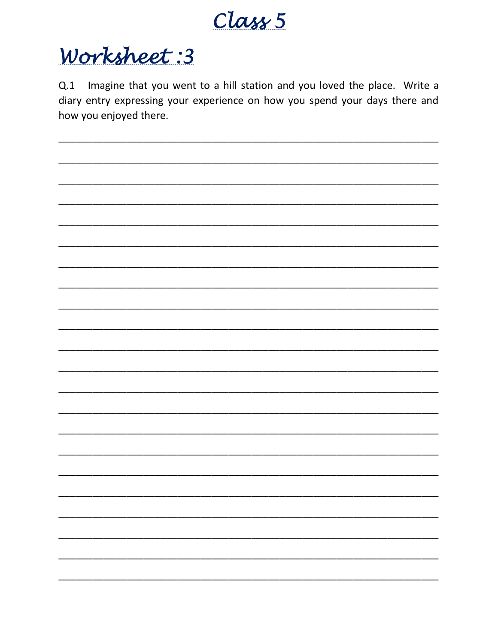

## Worksheet: 3

Q.1 Imagine that you went to a hill station and you loved the place. Write a diary entry expressing your experience on how you spend your days there and how you enjoyed there.

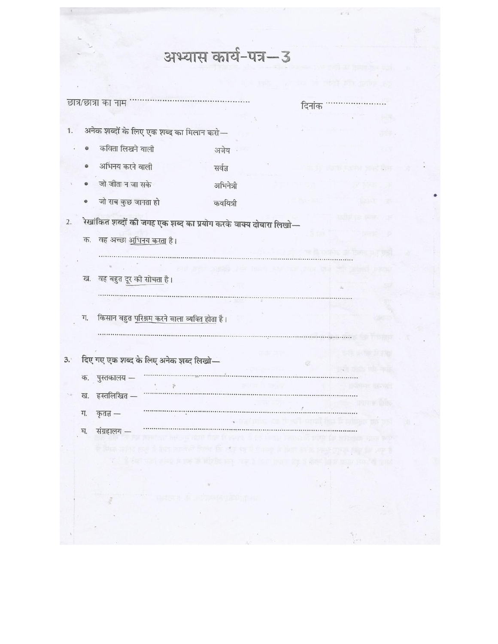|           |                                                      | अभ्यास कार्य-पत्र-3                                                           |        |                   |  |
|-----------|------------------------------------------------------|-------------------------------------------------------------------------------|--------|-------------------|--|
|           |                                                      |                                                                               |        |                   |  |
|           |                                                      |                                                                               |        |                   |  |
|           | छात्र/छात्रा का नाम                                  |                                                                               | दिनांक |                   |  |
|           |                                                      |                                                                               |        |                   |  |
| 1.        | अनेक शब्दों के लिए एक शब्द का मिलान करो—             |                                                                               |        | me.               |  |
|           | कविता लिखने वाली                                     | अजेय                                                                          |        |                   |  |
|           | अभिनय करने वाली                                      | सर्वज्ञ                                                                       |        |                   |  |
|           | जो जीता न जा सके                                     | अभिनेत्री                                                                     |        |                   |  |
| ©         | जो सब कुछ जानता हो                                   | कवयित्री                                                                      |        |                   |  |
|           |                                                      | रेखांकित शब्दों की जगह एक शब्द का प्रयोग करके वाक्य दोबारा लिखो—              |        |                   |  |
| क.        | वह अच्छा अभिनय करता है।                              |                                                                               |        |                   |  |
|           |                                                      |                                                                               |        |                   |  |
|           |                                                      |                                                                               |        |                   |  |
| ख.        | वह बहुत दूर की सोचता है।                             |                                                                               |        |                   |  |
|           |                                                      |                                                                               |        |                   |  |
| ग.        | किसान बहुत <u>परिश्रम करने वाला व्यक्ति होता</u> है। |                                                                               |        |                   |  |
|           |                                                      |                                                                               |        |                   |  |
|           |                                                      |                                                                               |        |                   |  |
|           | दिए गए एक शब्द के लिए अनेक शब्द लिखो—                |                                                                               | œ      |                   |  |
| क.        | पुस्तकालय -                                          |                                                                               |        |                   |  |
|           | ख. हस्तलिखित -                                       |                                                                               |        |                   |  |
| ग.        | कृतज्ञ $-$                                           |                                                                               |        | a ya pagu         |  |
| $\Delta'$ | संग्रहालय —                                          |                                                                               |        | 49 55             |  |
|           |                                                      | the set of for predict of the particle in the set of the set of the set       |        | 政治学科学学 解开对面 方法下表学 |  |
|           |                                                      | 4. The way may it me it styles may want to may be a shot large using the bank |        |                   |  |
|           |                                                      |                                                                               |        |                   |  |
|           |                                                      | <b>WAS ARRIVED AT</b>                                                         |        |                   |  |
|           |                                                      |                                                                               |        |                   |  |
|           |                                                      |                                                                               |        |                   |  |
|           |                                                      |                                                                               |        |                   |  |

 $\sim 100$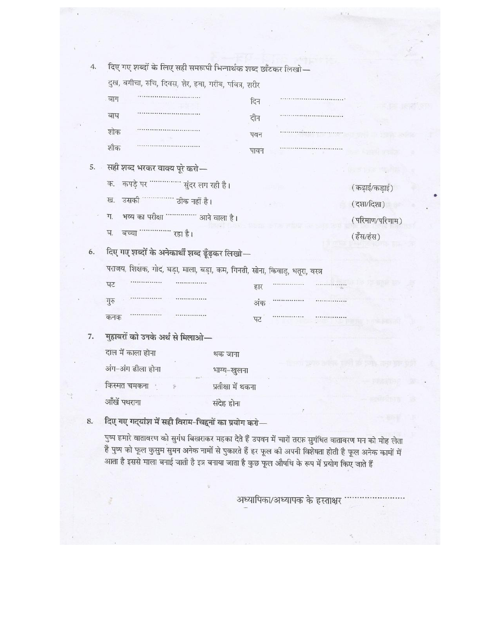| 4. | दिए गए शब्दों के लिए सही समरूपी भिन्नार्थक शब्द छाँटकर लिखो—                 |                    |      |  |                 |  |
|----|------------------------------------------------------------------------------|--------------------|------|--|-----------------|--|
|    | दुख, बगीचा, रुचि, दिवस, शेर, हवा, गरीब, पवित्र, शरीर                         |                    |      |  |                 |  |
|    | बाग                                                                          |                    | दिन  |  |                 |  |
|    | बाध                                                                          |                    | दीन  |  |                 |  |
|    | शोक                                                                          |                    | पवन  |  |                 |  |
|    | शौक                                                                          |                    | पावन |  |                 |  |
|    |                                                                              |                    |      |  |                 |  |
| 5. | सही शब्द भरकर वाक्य पूरे करो—                                                |                    |      |  |                 |  |
|    | कपड़े पर ''''''''''''' सुंदर लग रही है।<br>क.                                |                    |      |  | (कढ़ाई/कड़ाई)   |  |
|    | उसकी ''''''''''''' ठीक नहीं है।<br>ख.                                        |                    |      |  | (दशा/दिशा)      |  |
|    | भव्य का परीक्षा """""""" आने वाला है।<br>ग.                                  |                    |      |  | (परिमाण/परिणाम) |  |
|    | घ.<br>बच्चा '''''''''''''' रहा है।                                           |                    |      |  | (हँस/हंस)       |  |
| 6. | दिए गए शब्दों के अनेकार्थी शब्द ढूँढ़कर लिखो—                                |                    |      |  |                 |  |
|    | पराजय, शिक्षक, गोद, घड़ा, माला, बड़ा, कम, गिनती, सोना, किवाड़, धतूरा, वस्त्र |                    |      |  |                 |  |
|    | घट                                                                           |                    | हार  |  |                 |  |
|    | गुरु                                                                         |                    | अंक  |  |                 |  |
|    | कनक                                                                          |                    | पट   |  |                 |  |
|    |                                                                              |                    |      |  |                 |  |
| 7. | मुहावरों को उनके अर्थ से मिलाओ—                                              |                    |      |  |                 |  |
|    | दाल में काला होना                                                            | थक जाना            |      |  |                 |  |
|    | अंग-अंग ढीला होना                                                            | भाग्य-खुलना        |      |  | 叫头语的男           |  |
|    | किस्मत चमकना<br>Ý.                                                           | प्रतीक्षा में थकना |      |  |                 |  |
|    | आँखें पथराना                                                                 | संदेह होना         |      |  |                 |  |
| 8. | दिए गए गद्यांश में सही विराम-चिहनों का प्रयोग करो—                           |                    |      |  |                 |  |
|    |                                                                              |                    |      |  |                 |  |

पुष्प हमारे वातावरण को सुगंध बिखराकर महका देते हैं उपवन में चारों तरफ़ सुगंधित वातावरण मन को मोह लेता है पुष्प को फूल कुसुम सुमन अनेक नामों से पुकारते हैं हर फूल की अपनी विशेषता होती है फूल अनेक कामों में आता है इससे माला बनाई जाती है इत्र बनाया जाता है कुछ फूल औषधि के रूप में प्रयोग किए जाते हैं

अध्यापिका/अध्यापक के हस्ताक्षर '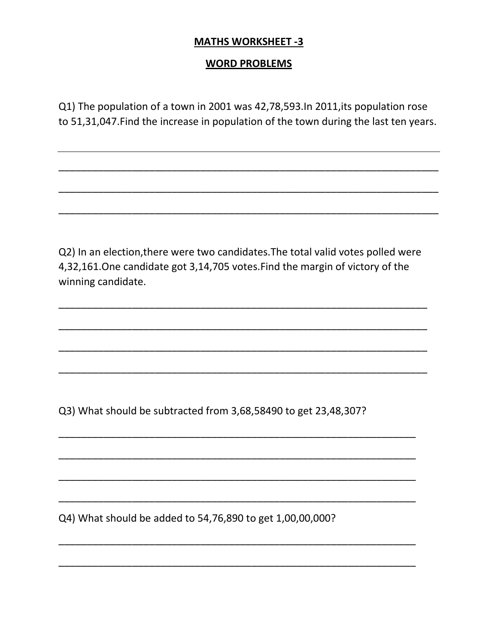## **MATHS WORKSHEET -3**

## **WORD PROBLEMS**

Q1) The population of a town in 2001 was 42,78,593.In 2011,its population rose to 51,31,047.Find the increase in population of the town during the last ten years.

\_\_\_\_\_\_\_\_\_\_\_\_\_\_\_\_\_\_\_\_\_\_\_\_\_\_\_\_\_\_\_\_\_\_\_\_\_\_\_\_\_\_\_\_\_\_\_\_\_\_\_\_\_\_\_\_\_\_\_\_\_\_\_\_\_\_\_

 $\overline{\phantom{a}}$  , and the contract of the contract of the contract of the contract of the contract of the contract of the contract of the contract of the contract of the contract of the contract of the contract of the contrac

\_\_\_\_\_\_\_\_\_\_\_\_\_\_\_\_\_\_\_\_\_\_\_\_\_\_\_\_\_\_\_\_\_\_\_\_\_\_\_\_\_\_\_\_\_\_\_\_\_\_\_\_\_\_\_\_\_\_\_\_\_\_\_\_\_\_\_

\_\_\_\_\_\_\_\_\_\_\_\_\_\_\_\_\_\_\_\_\_\_\_\_\_\_\_\_\_\_\_\_\_\_\_\_\_\_\_\_\_\_\_\_\_\_\_\_\_\_\_\_\_\_\_\_\_\_\_\_\_\_\_\_\_

\_\_\_\_\_\_\_\_\_\_\_\_\_\_\_\_\_\_\_\_\_\_\_\_\_\_\_\_\_\_\_\_\_\_\_\_\_\_\_\_\_\_\_\_\_\_\_\_\_\_\_\_\_\_\_\_\_\_\_\_\_\_\_\_\_

\_\_\_\_\_\_\_\_\_\_\_\_\_\_\_\_\_\_\_\_\_\_\_\_\_\_\_\_\_\_\_\_\_\_\_\_\_\_\_\_\_\_\_\_\_\_\_\_\_\_\_\_\_\_\_\_\_\_\_\_\_\_\_\_\_

\_\_\_\_\_\_\_\_\_\_\_\_\_\_\_\_\_\_\_\_\_\_\_\_\_\_\_\_\_\_\_\_\_\_\_\_\_\_\_\_\_\_\_\_\_\_\_\_\_\_\_\_\_\_\_\_\_\_\_\_\_\_\_\_\_

\_\_\_\_\_\_\_\_\_\_\_\_\_\_\_\_\_\_\_\_\_\_\_\_\_\_\_\_\_\_\_\_\_\_\_\_\_\_\_\_\_\_\_\_\_\_\_\_\_\_\_\_\_\_\_\_\_\_\_\_\_\_\_

\_\_\_\_\_\_\_\_\_\_\_\_\_\_\_\_\_\_\_\_\_\_\_\_\_\_\_\_\_\_\_\_\_\_\_\_\_\_\_\_\_\_\_\_\_\_\_\_\_\_\_\_\_\_\_\_\_\_\_\_\_\_\_

\_\_\_\_\_\_\_\_\_\_\_\_\_\_\_\_\_\_\_\_\_\_\_\_\_\_\_\_\_\_\_\_\_\_\_\_\_\_\_\_\_\_\_\_\_\_\_\_\_\_\_\_\_\_\_\_\_\_\_\_\_\_\_

\_\_\_\_\_\_\_\_\_\_\_\_\_\_\_\_\_\_\_\_\_\_\_\_\_\_\_\_\_\_\_\_\_\_\_\_\_\_\_\_\_\_\_\_\_\_\_\_\_\_\_\_\_\_\_\_\_\_\_\_\_\_\_

\_\_\_\_\_\_\_\_\_\_\_\_\_\_\_\_\_\_\_\_\_\_\_\_\_\_\_\_\_\_\_\_\_\_\_\_\_\_\_\_\_\_\_\_\_\_\_\_\_\_\_\_\_\_\_\_\_\_\_\_\_\_\_

\_\_\_\_\_\_\_\_\_\_\_\_\_\_\_\_\_\_\_\_\_\_\_\_\_\_\_\_\_\_\_\_\_\_\_\_\_\_\_\_\_\_\_\_\_\_\_\_\_\_\_\_\_\_\_\_\_\_\_\_\_\_\_

Q2) In an election,there were two candidates.The total valid votes polled were 4,32,161.One candidate got 3,14,705 votes.Find the margin of victory of the winning candidate.

Q3) What should be subtracted from 3,68,58490 to get 23,48,307?

Q4) What should be added to 54,76,890 to get 1,00,00,000?